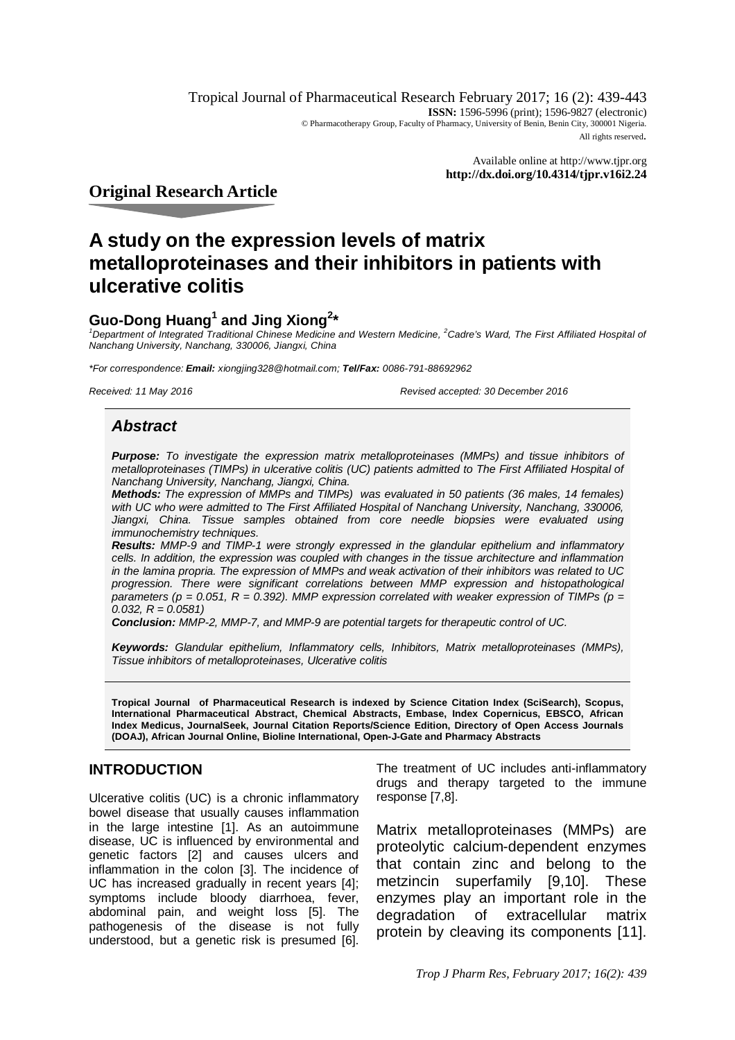Tropical Journal of Pharmaceutical Research February 2017; 16 (2): 439-443 **ISSN:** 1596-5996 (print); 1596-9827 (electronic) © Pharmacotherapy Group, Faculty of Pharmacy, University of Benin, Benin City, 300001 Nigeria. All rights reserved.

> Available online at <http://www.tjpr.org> **<http://dx.doi.org/10.4314/tjpr.v16i2.24>**

**Original Research Article**

# **A study on the expression levels of matrix metalloproteinases and their inhibitors in patients with ulcerative colitis**

# **Guo-Dong Huang<sup>1</sup> and Jing Xiong<sup>2</sup> \***

<sup>1</sup>*Department of Integrated Traditional Chinese Medicine and Western Medicine, <sup>2</sup>Cadre's Ward, The First Affiliated Hospital of Nanchang University, Nanchang, 330006, Jiangxi, China*

*\*For correspondence: Email: [xiongjing328@hotmail.com;](mailto:xiongjing328@hotmail.com;) Tel/Fax: 0086-791-88692962*

*Received: 11 May 2016 Revised accepted: 30 December 2016*

# *Abstract*

*Purpose: To investigate the expression matrix metalloproteinases (MMPs) and tissue inhibitors of metalloproteinases (TIMPs) in ulcerative colitis (UC) patients admitted to The First Affiliated Hospital of Nanchang University, Nanchang, Jiangxi, China.*

*Methods: The expression of MMPs and TIMPs) was evaluated in 50 patients (36 males, 14 females) with UC who were admitted to The First Affiliated Hospital of Nanchang University, Nanchang, 330006, Jiangxi, China. Tissue samples obtained from core needle biopsies were evaluated using immunochemistry techniques.*

*Results: MMP-9 and TIMP-1 were strongly expressed in the glandular epithelium and inflammatory cells. In addition, the expression was coupled with changes in the tissue architecture and inflammation in the lamina propria. The expression of MMPs and weak activation of their inhibitors was related to UC progression. There were significant correlations between MMP expression and histopathological parameters (p = 0.051, R = 0.392). MMP expression correlated with weaker expression of TIMPs (p = 0.032, R = 0.0581)*

*Conclusion: MMP-2, MMP-7, and MMP-9 are potential targets for therapeutic control of UC.*

*Keywords: Glandular epithelium, Inflammatory cells, Inhibitors, Matrix metalloproteinases (MMPs), Tissue inhibitors of metalloproteinases, Ulcerative colitis*

**Tropical Journal of Pharmaceutical Research is indexed by Science Citation Index (SciSearch), Scopus, International Pharmaceutical Abstract, Chemical Abstracts, Embase, Index Copernicus, EBSCO, African Index Medicus, JournalSeek, Journal Citation Reports/Science Edition, Directory of Open Access Journals (DOAJ), African Journal Online, Bioline International, Open-J-Gate and Pharmacy Abstracts**

### **INTRODUCTION**

Ulcerative colitis (UC) is a chronic inflammatory bowel disease that usually causes inflammation in the large intestine [1]. As an autoimmune disease, UC is influenced by environmental and genetic factors [2] and causes ulcers and inflammation in the colon [3]. The incidence of UC has increased gradually in recent years [4]; symptoms include bloody diarrhoea, fever, abdominal pain, and weight loss [5]. The pathogenesis of the disease is not fully understood, but a genetic risk is presumed [6].

The treatment of UC includes anti-inflammatory drugs and therapy targeted to the immune response [7,8].

Matrix metalloproteinases (MMPs) are proteolytic calcium-dependent enzymes that contain zinc and belong to the metzincin superfamily [9,10]. These enzymes play an important role in the degradation of extracellular matrix protein by cleaving its components [11].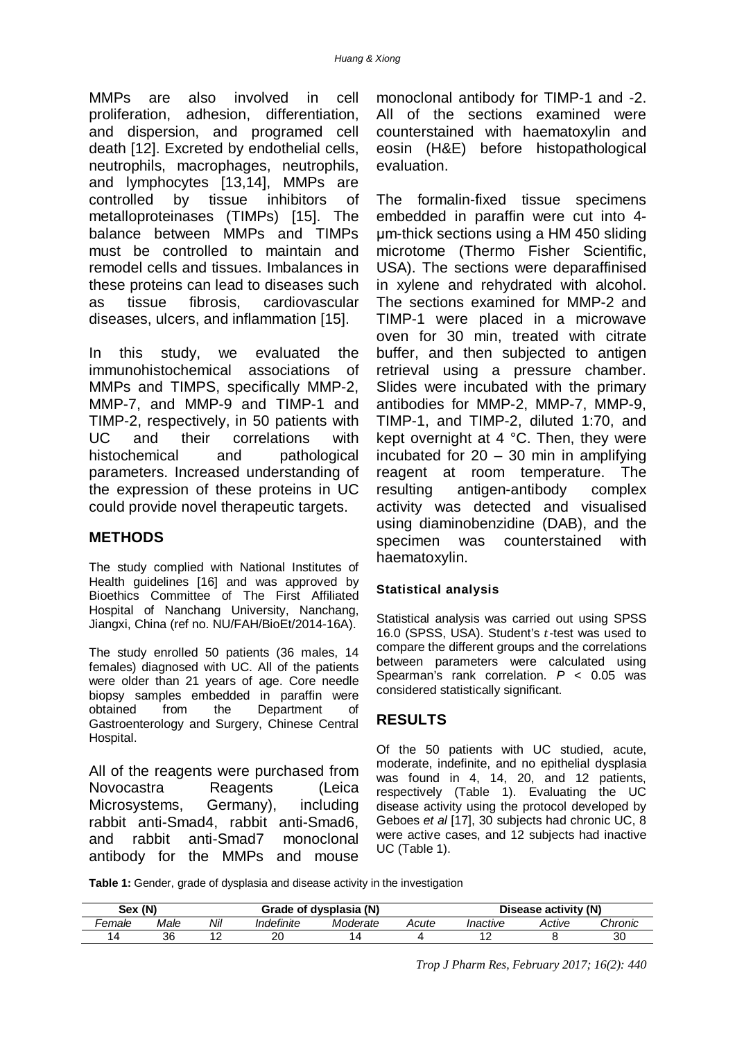MMPs are also involved in cell proliferation, adhesion, differentiation, and dispersion, and programed cell death [12]. Excreted by endothelial cells, neutrophils, macrophages, neutrophils, and lymphocytes [13,14], MMPs are controlled by tissue inhibitors of metalloproteinases (TIMPs) [15]. The balance between MMPs and TIMPs must be controlled to maintain and remodel cells and tissues. Imbalances in these proteins can lead to diseases such as tissue fibrosis, cardiovascular diseases, ulcers, and inflammation [15].

In this study, we evaluated the immunohistochemical associations of MMPs and TIMPS, specifically MMP-2, MMP-7, and MMP-9 and TIMP-1 and TIMP-2, respectively, in 50 patients with UC and their correlations with histochemical and pathological parameters. Increased understanding of the expression of these proteins in UC could provide novel therapeutic targets.

# **METHODS**

The study complied with National Institutes of Health guidelines [16] and was approved by Bioethics Committee of The First Affiliated Hospital of Nanchang University, Nanchang, Jiangxi, China (ref no. NU/FAH/BioEt/2014-16A).

The study enrolled 50 patients (36 males, 14 females) diagnosed with UC. All of the patients were older than 21 years of age. Core needle biopsy samples embedded in paraffin were obtained from the Department of Gastroenterology and Surgery, Chinese Central Hospital.

All of the reagents were purchased from Novocastra Reagents (Leica Microsystems, Germany), including rabbit anti-Smad4, rabbit anti-Smad6, and rabbit anti-Smad7 monoclonal antibody for the MMPs and mouse

monoclonal antibody for TIMP-1 and -2. All of the sections examined were counterstained with haematoxylin and eosin (H&E) before histopathological evaluation.

The formalin-fixed tissue specimens embedded in paraffin were cut into 4 μm-thick sections using a HM 450 sliding microtome (Thermo Fisher Scientific, USA). The sections were deparaffinised in xylene and rehydrated with alcohol. The sections examined for MMP-2 and TIMP-1 were placed in a microwave oven for 30 min, treated with citrate buffer, and then subjected to antigen retrieval using a pressure chamber. Slides were incubated with the primary antibodies for MMP-2, MMP-7, MMP-9, TIMP-1, and TIMP-2, diluted 1:70, and kept overnight at 4 °C. Then, they were incubated for 20 – 30 min in amplifying reagent at room temperature. The resulting antigen-antibody complex activity was detected and visualised using diaminobenzidine (DAB), and the specimen was counterstained with haematoxylin.

# **Statistical analysis**

Statistical analysis was carried out using SPSS 16.0 (SPSS, USA). Student's  $t$ -test was used to compare the different groups and the correlations between parameters were calculated using Spearman's rank correlation. *P* < 0.05 was considered statistically significant.

# **RESULTS**

Of the 50 patients with UC studied, acute, moderate, indefinite, and no epithelial dysplasia was found in 4, 14, 20, and 12 patients, respectively (Table 1). Evaluating the UC disease activity using the protocol developed by Geboes *et al* [17], 30 subjects had chronic UC, 8 were active cases, and 12 subjects had inactive UC (Table 1).

**Table 1:** Gender, grade of dysplasia and disease activity in the investigation

| Sex (N) |      |     |            | Grade of dysplasia (N) | Disease activity (N) |          |        |         |
|---------|------|-----|------------|------------------------|----------------------|----------|--------|---------|
| -emale  | Male | Nil | Indefinite | Moderate               | Acute                | Inactive | Active | Chronic |
| -4      | 36   |     | nr<br>∠∪   |                        |                      |          |        | 30      |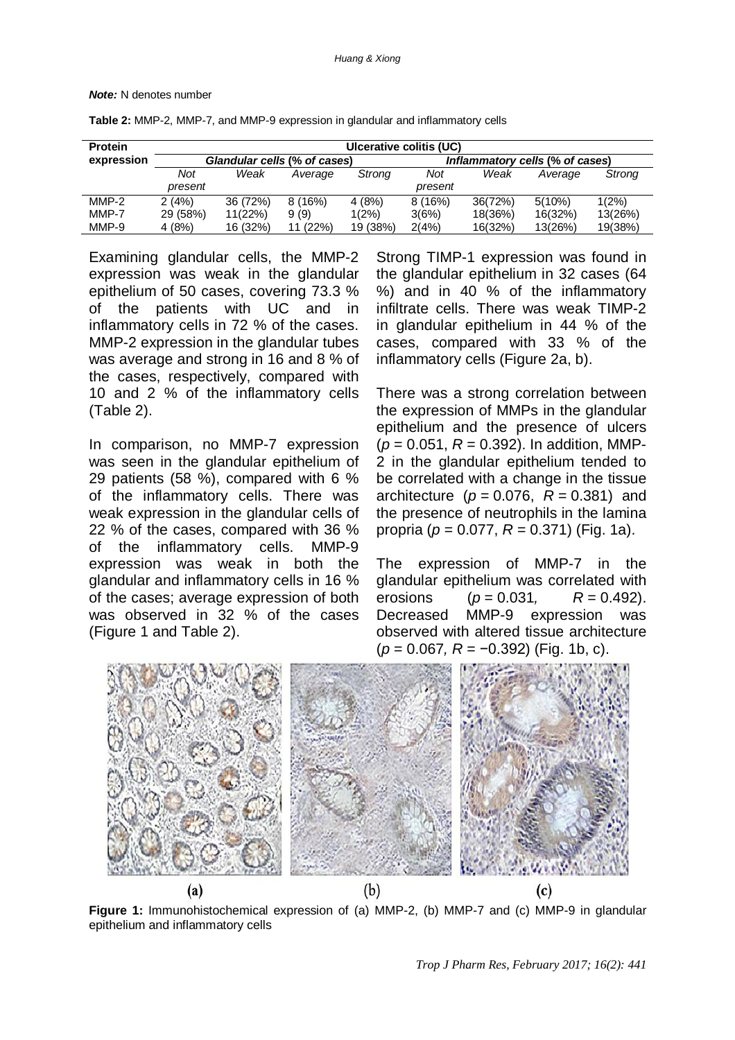#### *Note:* N denotes number

| <b>Protein</b> | Ulcerative colitis (UC) |                              |          |          |                                 |         |         |         |  |  |  |
|----------------|-------------------------|------------------------------|----------|----------|---------------------------------|---------|---------|---------|--|--|--|
| expression     |                         | Glandular cells (% of cases) |          |          | Inflammatory cells (% of cases) |         |         |         |  |  |  |
|                | Not                     | Weak                         | Average  | Strong   | Not                             | Weak    | Average | Strong  |  |  |  |
|                | present                 |                              |          |          | present                         |         |         |         |  |  |  |
| $MMP-2$        | 2(4%)                   | 36 (72%)                     | 8(16%)   | 4(8%)    | 8(16%)                          | 36(72%) | 5(10%)  | 1(2%)   |  |  |  |
| MMP-7          | 29 (58%)                | 11(22%)                      | 9(9)     | $1(2\%)$ | 3(6%)                           | 18(36%) | 16(32%) | 13(26%) |  |  |  |
| MMP-9          | 4(8%)                   | 16 (32%)                     | 11 (22%) | 19 (38%) | 2(4%)                           | 16(32%) | 13(26%) | 19(38%) |  |  |  |

**Table 2:** MMP-2, MMP-7, and MMP-9 expression in glandular and inflammatory cells

Examining glandular cells, the MMP-2 expression was weak in the glandular epithelium of 50 cases, covering 73.3 % of the patients with UC and in inflammatory cells in 72 % of the cases. MMP-2 expression in the glandular tubes was average and strong in 16 and 8 % of the cases, respectively, compared with 10 and 2 % of the inflammatory cells (Table 2).

In comparison, no MMP-7 expression was seen in the glandular epithelium of 29 patients (58 %), compared with 6 % of the inflammatory cells. There was weak expression in the glandular cells of 22 % of the cases, compared with 36 % of the inflammatory cells. MMP-9 expression was weak in both the glandular and inflammatory cells in 16 % of the cases; average expression of both was observed in 32 % of the cases (Figure 1 and Table 2).

Strong TIMP-1 expression was found in the glandular epithelium in 32 cases (64 %) and in 40 % of the inflammatory infiltrate cells. There was weak TIMP-2 in glandular epithelium in 44 % of the cases, compared with 33 % of the inflammatory cells (Figure 2a, b).

There was a strong correlation between the expression of MMPs in the glandular epithelium and the presence of ulcers  $(p = 0.051, R = 0.392)$ . In addition, MMP-2 in the glandular epithelium tended to be correlated with a change in the tissue architecture  $(p = 0.076, R = 0.381)$  and the presence of neutrophils in the lamina propria (*p* = 0.077, *R* = 0.371) (Fig. 1a).

The expression of MMP-7 in the glandular epithelium was correlated with erosions (*p* = 0.031*, R* = 0.492). Decreased MMP-9 expression was observed with altered tissue architecture (*p* = 0.067*, R* = −0.392) (Fig. 1b, c).



**Figure 1:** Immunohistochemical expression of (a) MMP-2, (b) MMP-7 and (c) MMP-9 in glandular epithelium and inflammatory cells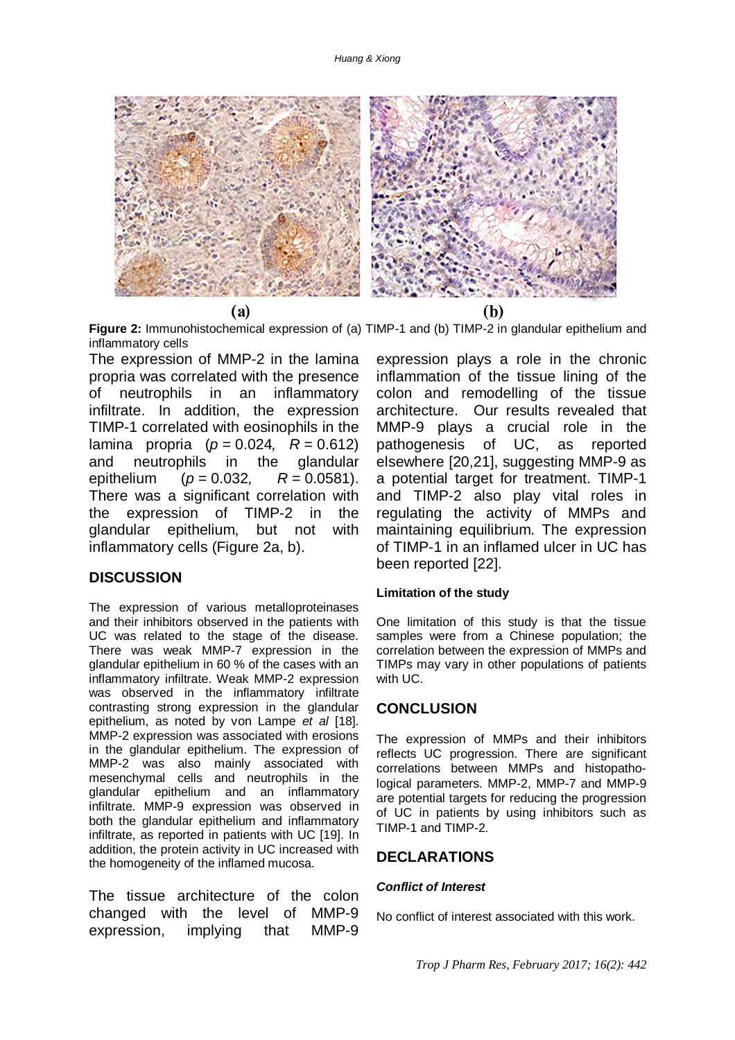

**Figure 2:** Immunohistochemical expression of (a) TIMP-1 and (b) TIMP-2 in glandular epithelium and inflammatory cells

The expression of MMP-2 in the lamina propria was correlated with the presence of neutrophils in an inflammatory infiltrate. In addition, the expression TIMP-1 correlated with eosinophils in the lamina propria (*p* = 0.024*, R* = 0.612) and neutrophils in the glandular epithelium (*p* = 0.032*, R* = 0.0581). There was a significant correlation with the expression of TIMP-2 in the glandular epithelium, but not with inflammatory cells (Figure 2a, b).

### **DISCUSSION**

The expression of various metalloproteinases and their inhibitors observed in the patients with UC was related to the stage of the disease. There was weak MMP-7 expression in the glandular epithelium in 60 % of the cases with an inflammatory infiltrate. Weak MMP-2 expression was observed in the inflammatory infiltrate contrasting strong expression in the glandular epithelium, as noted by von Lampe *et al* [18]. MMP-2 expression was associated with erosions in the glandular epithelium. The expression of MMP-2 was also mainly associated with mesenchymal cells and neutrophils in the glandular epithelium and an inflammatory infiltrate. MMP-9 expression was observed in both the glandular epithelium and inflammatory infiltrate, as reported in patients with UC [19]. In addition, the protein activity in UC increased with the homogeneity of the inflamed mucosa.

The tissue architecture of the colon changed with the level of MMP-9 expression, implying that MMP-9

expression plays a role in the chronic inflammation of the tissue lining of the colon and remodelling of the tissue architecture. Our results revealed that MMP-9 plays a crucial role in the pathogenesis of UC, as reported elsewhere [20,21], suggesting MMP-9 as a potential target for treatment. TIMP-1 and TIMP-2 also play vital roles in regulating the activity of MMPs and maintaining equilibrium. The expression of TIMP-1 in an inflamed ulcer in UC has been reported [22].

#### **Limitation of the study**

One limitation of this study is that the tissue samples were from a Chinese population; the correlation between the expression of MMPs and TIMPs may vary in other populations of patients with UC.

### **CONCLUSION**

The expression of MMPs and their inhibitors reflects UC progression. There are significant correlations between MMPs and histopathological parameters. MMP-2, MMP-7 and MMP-9 are potential targets for reducing the progression of UC in patients by using inhibitors such as TIMP-1 and TIMP-2.

### **DECLARATIONS**

#### *Conflict of Interest*

No conflict of interest associated with this work.